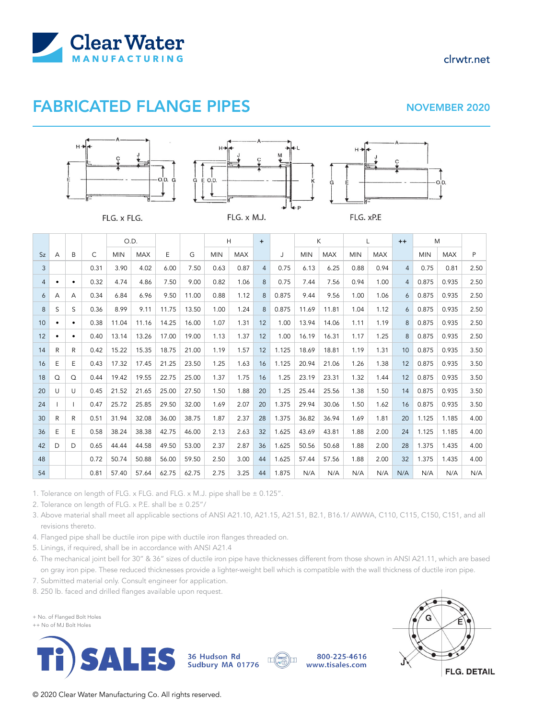

## FABRICATED FLANGE PIPES NOVEMBER 2020

clrwtr.net







FLG. x FLG.

FLG. x M.J.

 $Sz$  A B C O.D.  $E \qquad G$  $H$  + J K L ++ M MIN | MAX | E | G | MIN | MAX | | J | MIN | MAX | MIN | MAX | P 3 0.31 3.90 4.02 6.00 7.50 0.63 0.87 4 0.75 6.13 6.25 0.88 0.94 4 0.75 0.81 2.50 4 • • 0.32 4.74 4.86 7.50 9.00 0.82 1.06 8 0.75 7.44 7.56 0.94 1.00 4 0.875 0.935 2.50 6 A A 0.34 6.84 6.96 9.50 11.00 0.88 1.12 8 0.875 9.44 9.56 1.00 1.06 6 0.875 0.935 2.50 8 S S 0.36 8.99 9.11 11.75 13.50 1.00 1.24 8 0.875 11.69 11.81 1.04 1.12 6 0.875 0.935 2.50 10 • • 0.38 11.04 11.16 14.25 16.00 1.07 1.31 12 1.00 13.94 14.06 1.11 1.19 8 0.875 0.935 2.50 12 • • 0.40 13.14 13.26 17.00 19.00 1.13 1.37 12 1.00 16.19 16.31 1.17 1.25 8 0.875 0.935 2.50 14 R R 0.42 15.22 15.35 18.75 21.00 1.19 1.57 12 1.125 18.69 18.81 1.19 1.31 10 0.875 0.935 3.50 16 E E 0.43 17.32 17.45 21.25 23.50 1.25 1.63 16 1.125 20.94 21.06 1.26 1.38 12 0.875 0.935 3.50 18 Q Q 0.44 19.42 19.55 22.75 25.00 1.37 1.75 16 1.25 23.19 23.31 1.32 1.44 12 0.875 0.935 3.50 20 U U 0.45 21.52 21.65 25.00 27.50 1.50 1.88 20 1.25 25.44 25.56 1.38 1.50 14 0.875 0.935 3.50 24 I I 0.47 25.72 25.85 29.50 32.00 1.69 2.07 20 1.375 29.94 30.06 1.50 1.62 16 0.875 0.935 3.50 30 R R 0.51 31.94 32.08 36.00 38.75 1.87 2.37 28 1.375 36.82 36.94 1.69 1.81 20 1.125 1.185 4.00 36 E E 0.58 38.24 38.38 42.75 46.00 2.13 2.63 32 1.625 43.69 43.81 1.88 2.00 24 1.125 1.185 4.00 42 D D 0.65 44.44 44.58 49.50 53.00 2.37 2.87 36 1.625 50.56 50.68 1.88 2.00 28 1.375 1.435 4.00 48 0.72 50.74 50.88 56.00 59.50 2.50 3.00 44 1.625 57.44 57.56 1.88 2.00 32 1.375 1.435 4.00 54 0.81 57.40 57.64 62.75 62.75 2.75 3.25 44 1.875 N/A N/A N/A N/A N/A N/A N/A N/A N/A

1. Tolerance on length of FLG. x FLG. and FLG. x M.J. pipe shall be ± 0.125".

2. Tolerance on length of FLG. x P.E. shall be  $\pm$  0.25"/

3. Above material shall meet all applicable sections of ANSI A21.10, A21.15, A21.51, B2.1, B16.1/ AWWA, C110, C115, C150, C151, and all revisions thereto.

4. Flanged pipe shall be ductile iron pipe with ductile iron flanges threaded on.

5. Linings, if required, shall be in accordance with ANSI A21.4

6. The mechanical joint bell for 30" & 36" sizes of ductile iron pipe have thicknesses different from those shown in ANSI A21.11, which are based on gray iron pipe. These reduced thicknesses provide a lighter-weight bell which is compatible with the wall thickness of ductile iron pipe.

7. Submitted material only. Consult engineer for application.

8. 250 lb. faced and drilled flanges available upon request.

+ No. of Flanged Bolt Holes